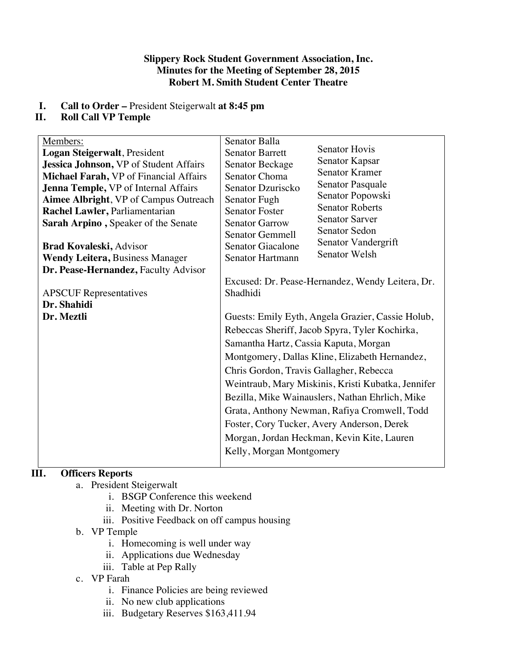#### **Slippery Rock Student Government Association, Inc. Minutes for the Meeting of September 28, 2015 Robert M. Smith Student Center Theatre**

## **I. Call to Order –** President Steigerwalt **at 8:45 pm**

## **II. Roll Call VP Temple**

| Members:                                     | Senator Balla                                      |                                                  |  |
|----------------------------------------------|----------------------------------------------------|--------------------------------------------------|--|
| Logan Steigerwalt, President                 | <b>Senator Barrett</b>                             | <b>Senator Hovis</b>                             |  |
| Jessica Johnson, VP of Student Affairs       | Senator Beckage                                    | Senator Kapsar                                   |  |
| Michael Farah, VP of Financial Affairs       | Senator Choma                                      | <b>Senator Kramer</b>                            |  |
| <b>Jenna Temple, VP of Internal Affairs</b>  | Senator Dzuriscko                                  | Senator Pasquale                                 |  |
| <b>Aimee Albright, VP of Campus Outreach</b> | Senator Fugh                                       | Senator Popowski                                 |  |
| Rachel Lawler, Parliamentarian               | <b>Senator Foster</b>                              | <b>Senator Roberts</b>                           |  |
| Sarah Arpino, Speaker of the Senate          | <b>Senator Garrow</b>                              | <b>Senator Sarver</b>                            |  |
|                                              | <b>Senator Gemmell</b>                             | <b>Senator Sedon</b>                             |  |
| <b>Brad Kovaleski, Advisor</b>               | <b>Senator Giacalone</b>                           | Senator Vandergrift                              |  |
| <b>Wendy Leitera, Business Manager</b>       | Senator Hartmann                                   | <b>Senator Welsh</b>                             |  |
| Dr. Pease-Hernandez, Faculty Advisor         |                                                    |                                                  |  |
|                                              |                                                    | Excused: Dr. Pease-Hernandez, Wendy Leitera, Dr. |  |
| <b>APSCUF</b> Representatives                | Shadhidi                                           |                                                  |  |
| Dr. Shahidi                                  |                                                    |                                                  |  |
| Dr. Meztli                                   | Guests: Emily Eyth, Angela Grazier, Cassie Holub,  |                                                  |  |
|                                              | Rebeccas Sheriff, Jacob Spyra, Tyler Kochirka,     |                                                  |  |
|                                              | Samantha Hartz, Cassia Kaputa, Morgan              |                                                  |  |
|                                              | Montgomery, Dallas Kline, Elizabeth Hernandez,     |                                                  |  |
|                                              | Chris Gordon, Travis Gallagher, Rebecca            |                                                  |  |
|                                              | Weintraub, Mary Miskinis, Kristi Kubatka, Jennifer |                                                  |  |
|                                              | Bezilla, Mike Wainauslers, Nathan Ehrlich, Mike    |                                                  |  |
|                                              | Grata, Anthony Newman, Rafiya Cromwell, Todd       |                                                  |  |
|                                              | Foster, Cory Tucker, Avery Anderson, Derek         |                                                  |  |
|                                              | Morgan, Jordan Heckman, Kevin Kite, Lauren         |                                                  |  |
|                                              | Kelly, Morgan Montgomery                           |                                                  |  |
|                                              |                                                    |                                                  |  |

# **III. Officers Reports**

- a. President Steigerwalt
	- i. BSGP Conference this weekend
	- ii. Meeting with Dr. Norton
	- iii. Positive Feedback on off campus housing
- b. VP Temple
	- i. Homecoming is well under way
	- ii. Applications due Wednesday
	- iii. Table at Pep Rally
- c. VP Farah
	- i. Finance Policies are being reviewed
	- ii. No new club applications
	- iii. Budgetary Reserves \$163,411.94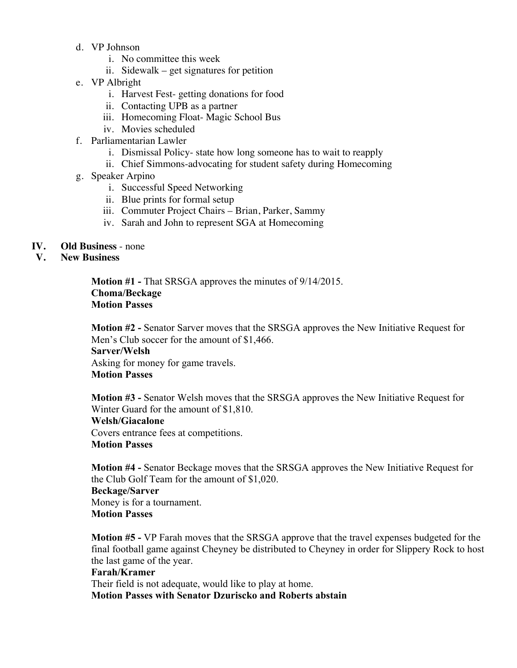- d. VP Johnson
	- i. No committee this week
	- ii. Sidewalk get signatures for petition
- e. VP Albright
	- i. Harvest Fest- getting donations for food
	- ii. Contacting UPB as a partner
	- iii. Homecoming Float- Magic School Bus
	- iv. Movies scheduled
- f. Parliamentarian Lawler
	- i. Dismissal Policy- state how long someone has to wait to reapply
	- ii. Chief Simmons-advocating for student safety during Homecoming
- g. Speaker Arpino
	- i. Successful Speed Networking
	- ii. Blue prints for formal setup
	- iii. Commuter Project Chairs Brian, Parker, Sammy
	- iv. Sarah and John to represent SGA at Homecoming
- **IV. Old Business** none
- **V. New Business**

**Motion #1 -** That SRSGA approves the minutes of 9/14/2015. **Choma/Beckage Motion Passes**

**Motion #2 -** Senator Sarver moves that the SRSGA approves the New Initiative Request for Men's Club soccer for the amount of \$1,466. **Sarver/Welsh** Asking for money for game travels. **Motion Passes**

**Motion #3 -** Senator Welsh moves that the SRSGA approves the New Initiative Request for Winter Guard for the amount of \$1,810. **Welsh/Giacalone** Covers entrance fees at competitions.

#### **Motion Passes**

**Motion #4 -** Senator Beckage moves that the SRSGA approves the New Initiative Request for the Club Golf Team for the amount of \$1,020. **Beckage/Sarver** Money is for a tournament. **Motion Passes**

**Motion #5 -** VP Farah moves that the SRSGA approve that the travel expenses budgeted for the final football game against Cheyney be distributed to Cheyney in order for Slippery Rock to host the last game of the year.

#### **Farah/Kramer**

Their field is not adequate, would like to play at home.

**Motion Passes with Senator Dzuriscko and Roberts abstain**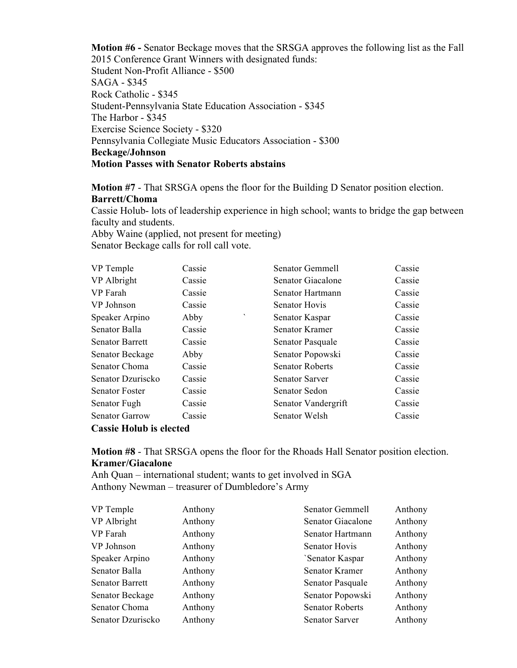**Motion #6 -** Senator Beckage moves that the SRSGA approves the following list as the Fall 2015 Conference Grant Winners with designated funds: Student Non-Profit Alliance - \$500 SAGA - \$345 Rock Catholic - \$345 Student-Pennsylvania State Education Association - \$345 The Harbor - \$345 Exercise Science Society - \$320 Pennsylvania Collegiate Music Educators Association - \$300 **Beckage/Johnson Motion Passes with Senator Roberts abstains**

**Motion #7** - That SRSGA opens the floor for the Building D Senator position election. **Barrett/Choma**

Cassie Holub- lots of leadership experience in high school; wants to bridge the gap between faculty and students.

Abby Waine (applied, not present for meeting) Senator Beckage calls for roll call vote.

| VP Temple                      | Cassie | Senator Gemmell        | Cassie |
|--------------------------------|--------|------------------------|--------|
| VP Albright                    | Cassie | Senator Giacalone      | Cassie |
| VP Farah                       | Cassie | Senator Hartmann       | Cassie |
| VP Johnson                     | Cassie | Senator Hovis          | Cassie |
| Speaker Arpino                 | Abby   | ۰<br>Senator Kaspar    | Cassie |
| Senator Balla                  | Cassie | Senator Kramer         | Cassie |
| <b>Senator Barrett</b>         | Cassie | Senator Pasquale       | Cassie |
| Senator Beckage                | Abby   | Senator Popowski       | Cassie |
| Senator Choma                  | Cassie | <b>Senator Roberts</b> | Cassie |
| Senator Dzuriscko              | Cassie | <b>Senator Sarver</b>  | Cassie |
| <b>Senator Foster</b>          | Cassie | Senator Sedon          | Cassie |
| Senator Fugh                   | Cassie | Senator Vandergrift    | Cassie |
| <b>Senator Garrow</b>          | Cassie | Senator Welsh          | Cassie |
| <b>Cassie Holub is elected</b> |        |                        |        |

**Motion #8** - That SRSGA opens the floor for the Rhoads Hall Senator position election. **Kramer/Giacalone**

Anh Quan – international student; wants to get involved in SGA Anthony Newman – treasurer of Dumbledore's Army

| VP Temple              | Anthony | Senator Gemmell        | Anthony |
|------------------------|---------|------------------------|---------|
| VP Albright            | Anthony | Senator Giacalone      | Anthony |
| VP Farah               | Anthony | Senator Hartmann       | Anthony |
| VP Johnson             | Anthony | Senator Hovis          | Anthony |
| Speaker Arpino         | Anthony | 'Senator Kaspar        | Anthony |
| Senator Balla          | Anthony | Senator Kramer         | Anthony |
| <b>Senator Barrett</b> | Anthony | Senator Pasquale       | Anthony |
| Senator Beckage        | Anthony | Senator Popowski       | Anthony |
| Senator Choma          | Anthony | <b>Senator Roberts</b> | Anthony |
| Senator Dzuriscko      | Anthony | <b>Senator Sarver</b>  | Anthony |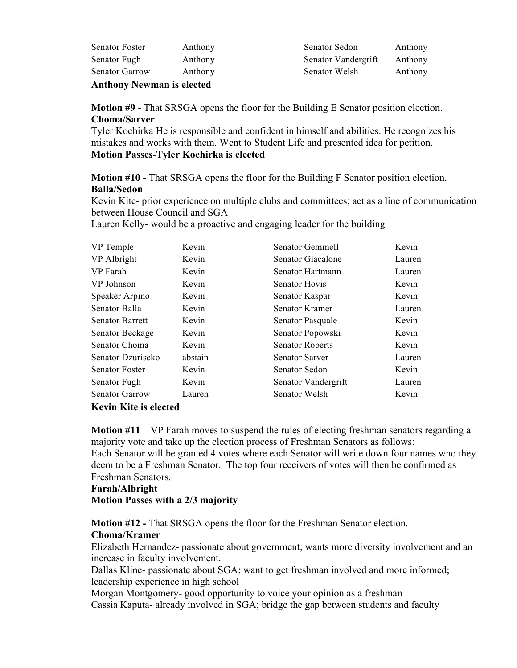| <b>Anthony Newman is elected</b> |         |  |  |
|----------------------------------|---------|--|--|
| <b>Senator Garrow</b>            | Anthony |  |  |
| Senator Fugh                     | Anthony |  |  |
| <b>Senator Foster</b>            | Anthony |  |  |

Senator Sedon Anthony Senator Vandergrift Anthony Senator Welsh Anthony

**Motion #9** - That SRSGA opens the floor for the Building E Senator position election. **Choma/Sarver**

Tyler Kochirka He is responsible and confident in himself and abilities. He recognizes his mistakes and works with them. Went to Student Life and presented idea for petition. **Motion Passes-Tyler Kochirka is elected**

**Motion #10 -** That SRSGA opens the floor for the Building F Senator position election. **Balla/Sedon**

Kevin Kite- prior experience on multiple clubs and committees; act as a line of communication between House Council and SGA

Lauren Kelly- would be a proactive and engaging leader for the building

| VP Temple              | Kevin   | Senator Gemmell        | Kevin  |
|------------------------|---------|------------------------|--------|
| VP Albright            | Kevin   | Senator Giacalone      | Lauren |
| VP Farah               | Kevin   | Senator Hartmann       | Lauren |
| VP Johnson             | Kevin   | <b>Senator Hovis</b>   | Kevin  |
| Speaker Arpino         | Kevin   | Senator Kaspar         | Kevin  |
| Senator Balla          | Kevin   | Senator Kramer         | Lauren |
| <b>Senator Barrett</b> | Kevin   | Senator Pasquale       | Kevin  |
| Senator Beckage        | Kevin   | Senator Popowski       | Kevin  |
| Senator Choma          | Kevin   | <b>Senator Roberts</b> | Kevin  |
| Senator Dzuriscko      | abstain | <b>Senator Sarver</b>  | Lauren |
| <b>Senator Foster</b>  | Kevin   | Senator Sedon          | Kevin  |
| Senator Fugh           | Kevin   | Senator Vandergrift    | Lauren |
| <b>Senator Garrow</b>  | Lauren  | Senator Welsh          | Kevin  |
| 17 1794 1              |         |                        |        |

## **Kevin Kite is elected**

**Motion #11** – VP Farah moves to suspend the rules of electing freshman senators regarding a majority vote and take up the election process of Freshman Senators as follows: Each Senator will be granted 4 votes where each Senator will write down four names who they deem to be a Freshman Senator. The top four receivers of votes will then be confirmed as Freshman Senators.

#### **Farah/Albright**

**Motion Passes with a 2/3 majority**

**Motion #12 -** That SRSGA opens the floor for the Freshman Senator election. **Choma/Kramer**

Elizabeth Hernandez- passionate about government; wants more diversity involvement and an increase in faculty involvement.

Dallas Kline- passionate about SGA; want to get freshman involved and more informed; leadership experience in high school

Morgan Montgomery- good opportunity to voice your opinion as a freshman Cassia Kaputa- already involved in SGA; bridge the gap between students and faculty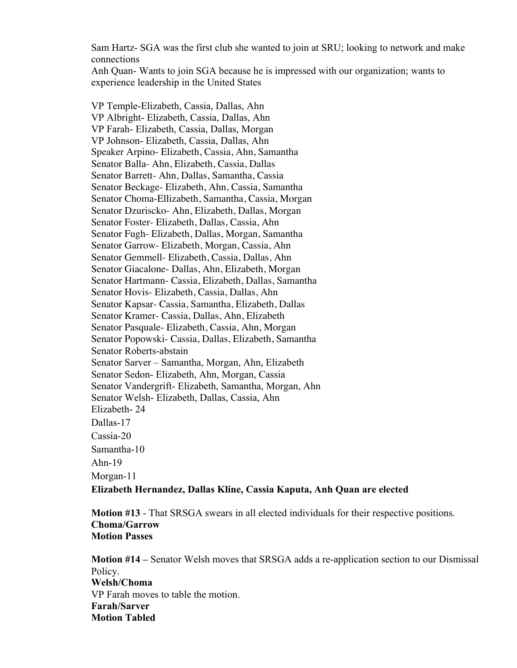Sam Hartz- SGA was the first club she wanted to join at SRU; looking to network and make connections

Anh Quan- Wants to join SGA because he is impressed with our organization; wants to experience leadership in the United States

VP Temple-Elizabeth, Cassia, Dallas, Ahn VP Albright- Elizabeth, Cassia, Dallas, Ahn VP Farah- Elizabeth, Cassia, Dallas, Morgan VP Johnson- Elizabeth, Cassia, Dallas, Ahn Speaker Arpino- Elizabeth, Cassia, Ahn, Samantha Senator Balla- Ahn, Elizabeth, Cassia, Dallas Senator Barrett- Ahn, Dallas, Samantha, Cassia Senator Beckage- Elizabeth, Ahn, Cassia, Samantha Senator Choma-Ellizabeth, Samantha, Cassia, Morgan Senator Dzuriscko- Ahn, Elizabeth, Dallas, Morgan Senator Foster- Elizabeth, Dallas, Cassia, Ahn Senator Fugh- Elizabeth, Dallas, Morgan, Samantha Senator Garrow- Elizabeth, Morgan, Cassia, Ahn Senator Gemmell- Elizabeth, Cassia, Dallas, Ahn Senator Giacalone- Dallas, Ahn, Elizabeth, Morgan Senator Hartmann- Cassia, Elizabeth, Dallas, Samantha Senator Hovis- Elizabeth, Cassia, Dallas, Ahn Senator Kapsar- Cassia, Samantha, Elizabeth, Dallas Senator Kramer- Cassia, Dallas, Ahn, Elizabeth Senator Pasquale- Elizabeth, Cassia, Ahn, Morgan Senator Popowski- Cassia, Dallas, Elizabeth, Samantha Senator Roberts-abstain Senator Sarver – Samantha, Morgan, Ahn, Elizabeth Senator Sedon- Elizabeth, Ahn, Morgan, Cassia Senator Vandergrift- Elizabeth, Samantha, Morgan, Ahn Senator Welsh- Elizabeth, Dallas, Cassia, Ahn Elizabeth- 24 Dallas-17 Cassia-20 Samantha-10 Ahn-19 Morgan-11 **Elizabeth Hernandez, Dallas Kline, Cassia Kaputa, Anh Quan are elected**

**Motion #13** - That SRSGA swears in all elected individuals for their respective positions. **Choma/Garrow Motion Passes**

**Motion #14 –** Senator Welsh moves that SRSGA adds a re-application section to our Dismissal Policy. **Welsh/Choma** VP Farah moves to table the motion. **Farah/Sarver Motion Tabled**